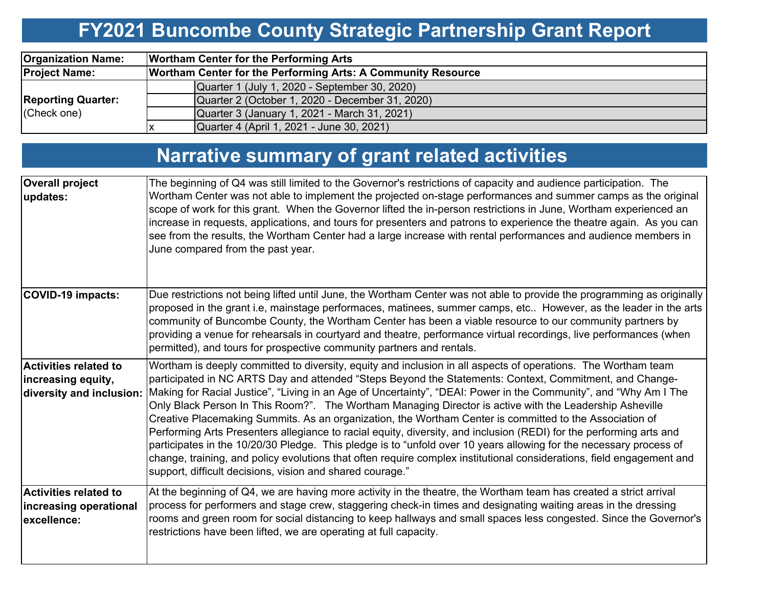# **FY2021 Buncombe County Strategic Partnership Grant Report**

| <b>Organization Name:</b>                |                                                                     | <b>Wortham Center for the Performing Arts</b>   |  |  |  |  |  |
|------------------------------------------|---------------------------------------------------------------------|-------------------------------------------------|--|--|--|--|--|
| <b>Project Name:</b>                     | <b>Wortham Center for the Performing Arts: A Community Resource</b> |                                                 |  |  |  |  |  |
|                                          |                                                                     | Quarter 1 (July 1, 2020 - September 30, 2020)   |  |  |  |  |  |
| <b>Reporting Quarter:</b><br>(Check one) |                                                                     | Quarter 2 (October 1, 2020 - December 31, 2020) |  |  |  |  |  |
|                                          |                                                                     | Quarter 3 (January 1, 2021 - March 31, 2021)    |  |  |  |  |  |
|                                          |                                                                     | Quarter 4 (April 1, 2021 - June 30, 2021)       |  |  |  |  |  |

## **Narrative summary of grant related activities**

| <b>Overall project</b><br>updates:                                             | The beginning of Q4 was still limited to the Governor's restrictions of capacity and audience participation. The<br>Wortham Center was not able to implement the projected on-stage performances and summer camps as the original<br>scope of work for this grant. When the Governor lifted the in-person restrictions in June, Wortham experienced an<br>increase in requests, applications, and tours for presenters and patrons to experience the theatre again. As you can<br>see from the results, the Wortham Center had a large increase with rental performances and audience members in<br>June compared from the past year.                                                                                                                                                                                                                                                                                                                                                                 |
|--------------------------------------------------------------------------------|-------------------------------------------------------------------------------------------------------------------------------------------------------------------------------------------------------------------------------------------------------------------------------------------------------------------------------------------------------------------------------------------------------------------------------------------------------------------------------------------------------------------------------------------------------------------------------------------------------------------------------------------------------------------------------------------------------------------------------------------------------------------------------------------------------------------------------------------------------------------------------------------------------------------------------------------------------------------------------------------------------|
| <b>COVID-19 impacts:</b>                                                       | Due restrictions not being lifted until June, the Wortham Center was not able to provide the programming as originally<br>proposed in the grant i.e, mainstage performaces, matinees, summer camps, etc However, as the leader in the arts<br>community of Buncombe County, the Wortham Center has been a viable resource to our community partners by<br>providing a venue for rehearsals in courtyard and theatre, performance virtual recordings, live performances (when<br>permitted), and tours for prospective community partners and rentals.                                                                                                                                                                                                                                                                                                                                                                                                                                                 |
| <b>Activities related to</b><br>increasing equity,<br>diversity and inclusion: | Wortham is deeply committed to diversity, equity and inclusion in all aspects of operations. The Wortham team<br>participated in NC ARTS Day and attended "Steps Beyond the Statements: Context, Commitment, and Change-<br>Making for Racial Justice", "Living in an Age of Uncertainty", "DEAI: Power in the Community", and "Why Am I The<br>Only Black Person In This Room?". The Wortham Managing Director is active with the Leadership Asheville<br>Creative Placemaking Summits. As an organization, the Wortham Center is committed to the Association of<br>Performing Arts Presenters allegiance to racial equity, diversity, and inclusion (REDI) for the performing arts and<br>participates in the 10/20/30 Pledge. This pledge is to "unfold over 10 years allowing for the necessary process of<br>change, training, and policy evolutions that often require complex institutional considerations, field engagement and<br>support, difficult decisions, vision and shared courage." |
| <b>Activities related to</b><br>increasing operational<br>excellence:          | At the beginning of Q4, we are having more activity in the theatre, the Wortham team has created a strict arrival<br>process for performers and stage crew, staggering check-in times and designating waiting areas in the dressing<br>rooms and green room for social distancing to keep hallways and small spaces less congested. Since the Governor's<br>restrictions have been lifted, we are operating at full capacity.                                                                                                                                                                                                                                                                                                                                                                                                                                                                                                                                                                         |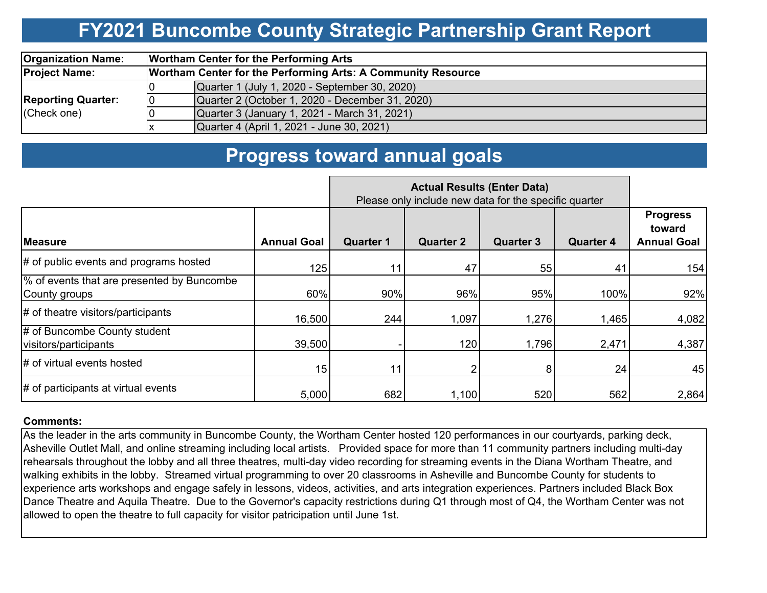## **FY2021 Buncombe County Strategic Partnership Grant Report**

| <b>Organization Name:</b> |    | <b>Wortham Center for the Performing Arts</b>                       |  |  |  |  |  |  |
|---------------------------|----|---------------------------------------------------------------------|--|--|--|--|--|--|
| <b>Project Name:</b>      |    | <b>Wortham Center for the Performing Arts: A Community Resource</b> |  |  |  |  |  |  |
|                           |    | Quarter 1 (July 1, 2020 - September 30, 2020)                       |  |  |  |  |  |  |
| <b>Reporting Quarter:</b> | 10 | Quarter 2 (October 1, 2020 - December 31, 2020)                     |  |  |  |  |  |  |
| (Check one)               |    | Quarter 3 (January 1, 2021 - March 31, 2021)                        |  |  |  |  |  |  |
|                           |    | Quarter 4 (April 1, 2021 - June 30, 2021)                           |  |  |  |  |  |  |

### **Progress toward annual goals**

|                                                             |                    | Please only include new data for the specific quarter |                  |                  |                  |                                                 |
|-------------------------------------------------------------|--------------------|-------------------------------------------------------|------------------|------------------|------------------|-------------------------------------------------|
| <b>Measure</b>                                              | <b>Annual Goal</b> | <b>Quarter 1</b>                                      | <b>Quarter 2</b> | <b>Quarter 3</b> | <b>Quarter 4</b> | <b>Progress</b><br>toward<br><b>Annual Goal</b> |
| # of public events and programs hosted                      | 125                | 11                                                    | 47               | 55               | 41               | 154                                             |
| % of events that are presented by Buncombe<br>County groups | 60%                | 90%                                                   | 96%              | 95%              | 100%             | 92%                                             |
| $\#$ of theatre visitors/participants                       | 16,500             | 244                                                   | 1,097            | 1,276            | 1,465            | 4,082                                           |
| # of Buncombe County student<br>visitors/participants       | 39,500             |                                                       | 120              | 1,796            | 2,471            | 4,387                                           |
| # of virtual events hosted                                  | 15                 | 11                                                    |                  | 8                | 24               | 45                                              |
| $\#$ of participants at virtual events                      | 5,000              | 682                                                   | 1,100            | 520              | 562              | 2,864                                           |

#### **Comments:**

As the leader in the arts community in Buncombe County, the Wortham Center hosted 120 performances in our courtyards, parking deck, Asheville Outlet Mall, and online streaming including local artists. Provided space for more than 11 community partners including multi-day rehearsals throughout the lobby and all three theatres, multi-day video recording for streaming events in the Diana Wortham Theatre, and walking exhibits in the lobby. Streamed virtual programming to over 20 classrooms in Asheville and Buncombe County for students to experience arts workshops and engage safely in lessons, videos, activities, and arts integration experiences. Partners included Black Box Dance Theatre and Aquila Theatre. Due to the Governor's capacity restrictions during Q1 through most of Q4, the Wortham Center was not allowed to open the theatre to full capacity for visitor patricipation until June 1st.